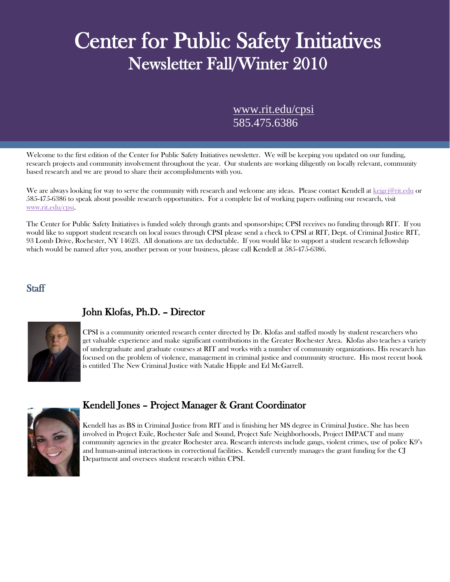# Center for Public Safety Initiatives<br>Newsletter Fall/Winter 2010

[www.rit.edu/cpsi](http://www.rit.edu/cpsi) 585.475.6386

Welcome to the first edition of the Center for Public Safety Initiatives newsletter. We will be keeping you updated on our funding, research projects and community involvement throughout the year. Our students are working diligently on locally relevant, community based research and we are proud to share their accomplishments with you.

We are always looking for way to serve the community with research and welcome any ideas. Please contact Kendell at [kejgcj@rit.edu](mailto:kejgcj@rit.edu) or 585-475-6386 to speak about possible research opportunities. For a complete list of working papers outlining our research, visit [www.rit.edu/cpsi.](http://www.rit.edu/cpsi)

The Center for Public Safety Initiatives is funded solely through grants and sponsorships; CPSI receives no funding through RIT. If you would like to support student research on local issues through CPSI please send a check to CPSI at RIT, Dept. of Criminal Justice RIT, 93 Lomb Drive, Rochester, NY 14623. All donations are tax deductable. If you would like to support a student research fellowship which would be named after you, another person or your business, please call Kendell at 585-475-6386.

## **Staff**



# John Klofas, Ph.D. – Director

CPSI is a community oriented research center directed by Dr. Klofas and staffed mostly by student researchers who get valuable experience and make significant contributions in the Greater Rochester Area. Klofas also teaches a variety of undergraduate and graduate courses at RIT and works with a number of community organizations. His research has focused on the problem of violence, management in criminal justice and community structure. His most recent book is entitled The New Criminal Justice with Natalie Hipple and Ed McGarrell.



# Kendell Jones – Project Manager & Grant Coordinator

Kendell has as BS in Criminal Justice from RIT and is finishing her MS degree in Criminal Justice. She has been involved in Project Exile, Rochester Safe and Sound, Project Safe Neighborhoods, Project IMPACT and many community agencies in the greater Rochester area. Research interests include gangs, violent crimes, use of police K9's and human-animal interactions in correctional facilities. Kendell currently manages the grant funding for the CJ Department and oversees student research within CPSI.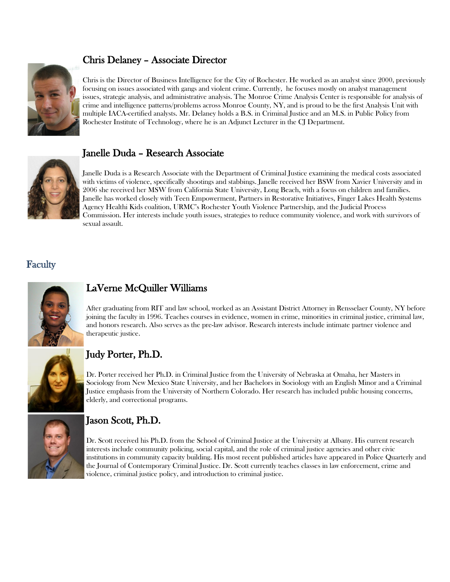# Chris Delaney – Associate Director



Chris is the Director of Business Intelligence for the City of Rochester. He worked as an analyst since 2000, previously focusing on issues associated with gangs and violent crime. Currently, he focuses mostly on analyst management issues, strategic analysis, and administrative analysis. The Monroe Crime Analysis Center is responsible for analysis of crime and intelligence patterns/problems across Monroe County, NY, and is proud to be the first Analysis Unit with multiple IACA-certified analysts. Mr. Delaney holds a B.S. in Criminal Justice and an M.S. in Public Policy from Rochester Institute of Technology, where he is an Adjunct Lecturer in the CJ Department.



# Janelle Duda – Research Associate

Janelle Duda is a Research Associate with the Department of Criminal Justice examining the medical costs associated with victims of violence, specifically shootings and stabbings. Janelle received her BSW from Xavier University and in 2006 she received her MSW from California State University, Long Beach, with a focus on children and families. Janelle has worked closely with Teen Empowerment, Partners in Restorative Initiatives, Finger Lakes Health Systems Agency Healthi Kids coalition, URMC's Rochester Youth Violence Partnership, and the Judicial Process Commission. Her interests include youth issues, strategies to reduce community violence, and work with survivors of sexual assault.

# **Faculty**



# LaVerne McQuiller Williams

After graduating from RIT and law school, worked as an Assistant District Attorney in Rensselaer County, NY before joining the faculty in 1996. Teaches courses in evidence, women in crime, minorities in criminal justice, criminal law, and honors research. Also serves as the pre-law advisor. Research interests include intimate partner violence and therapeutic justice.



# Judy Porter, Ph.D.

Dr. Porter received her Ph.D. in Criminal Justice from the University of Nebraska at Omaha, her Masters in Sociology from New Mexico State University, and her Bachelors in Sociology with an English Minor and a Criminal Justice emphasis from the University of Northern Colorado. Her research has included public housing concerns, elderly, and correctional programs.



# Jason Scott, Ph.D.

Dr. Scott received his Ph.D. from the School of Criminal Justice at the University at Albany. His current research interests include community policing, social capital, and the role of criminal justice agencies and other civic institutions in community capacity building. His most recent published articles have appeared in Police Quarterly and the Journal of Contemporary Criminal Justice. Dr. Scott currently teaches classes in law enforcement, crime and violence, criminal justice policy, and introduction to criminal justice.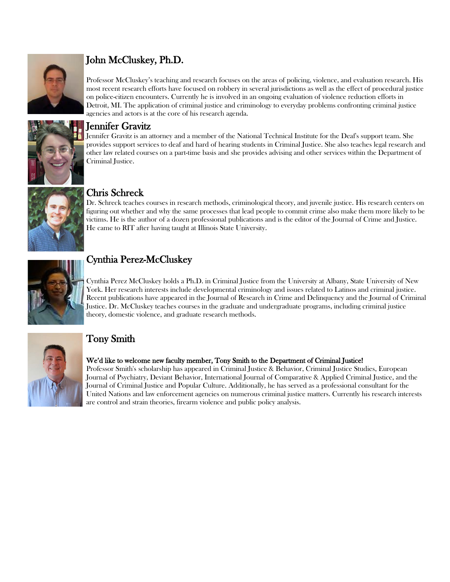

# John McCluskey, Ph.D.

Professor McCluskey's teaching and research focuses on the areas of policing, violence, and evaluation research. His most recent research efforts have focused on robbery in several jurisdictions as well as the effect of procedural justice on police-citizen encounters. Currently he is involved in an ongoing evaluation of violence reduction efforts in Detroit, MI. The application of criminal justice and criminology to everyday problems confronting criminal justice agencies and actors is at the core of his research agenda.



**Jennifer Gravitz**<br>Jennifer Gravitz is an attorney and a member of the National Technical Institute for the Deaf's support team. She provides support services to deaf and hard of hearing students in Criminal Justice. She also teaches legal research and other law related courses on a part-time basis and she provides advising and other services within the Department of Criminal Justice.



Chris Schreck<br>Dr. Schreck teaches courses in research methods, criminological theory, and juvenile justice. His research centers on figuring out whether and why the same processes that lead people to commit crime also make them more likely to be victims. He is the author of a dozen professional publications and is the editor of the Journal of Crime and Justice. He came to RIT after having taught at Illinois State University.



# Cynthia Perez-McCluskey

Cynthia Perez McCluskey holds a Ph.D. in Criminal Justice from the University at Albany, State University of New York. Her research interests include developmental criminology and issues related to Latinos and criminal justice. Recent publications have appeared in the Journal of Research in Crime and Delinquency and the Journal of Criminal Justice. Dr. McCluskey teaches courses in the graduate and undergraduate programs, including criminal justice theory, domestic violence, and graduate research methods.



# Tony Smith

### We'd like to welcome new faculty member, Tony Smith to the Department of Criminal Justice!

Professor Smith's scholarship has appeared in Criminal Justice & Behavior, Criminal Justice Studies, European Journal of Psychiatry, Deviant Behavior, International Journal of Comparative & Applied Criminal Justice, and the Journal of Criminal Justice and Popular Culture. Additionally, he has served as a professional consultant for the United Nations and law enforcement agencies on numerous criminal justice matters. Currently his research interests are control and strain theories, firearm violence and public policy analysis.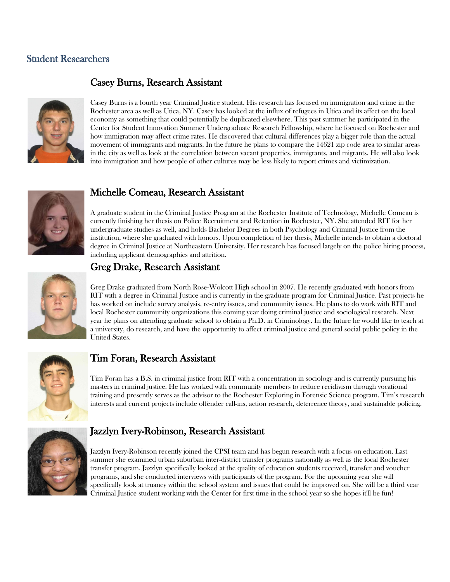# Student Researchers

# Casey Burns, Research Assistant



Casey Burns is a fourth year Criminal Justice student. His research has focused on immigration and crime in the Rochester area as well as Utica, NY. Casey has looked at the influx of refugees in Utica and its affect on the local economy as something that could potentially be duplicated elsewhere. This past summer he participated in the Center for Student Innovation Summer Undergraduate Research Fellowship, where he focused on Rochester and how immigration may affect crime rates. He discovered that cultural differences play a bigger role than the actual movement of immigrants and migrants. In the future he plans to compare the 14621 zip code area to similar areas in the city as well as look at the correlation between vacant properties, immigrants, and migrants. He will also look into immigration and how people of other cultures may be less likely to report crimes and victimization.



# Michelle Comeau, Research Assistant

A graduate student in the Criminal Justice Program at the Rochester Institute of Technology, Michelle Comeau is currently finishing her thesis on Police Recruitment and Retention in Rochester, NY. She attended RIT for her undergraduate studies as well, and holds Bachelor Degrees in both Psychology and Criminal Justice from the institution, where she graduated with honors. Upon completion of her thesis, Michelle intends to obtain a doctoral degree in Criminal Justice at Northeastern University. Her research has focused largely on the police hiring process, including applicant demographics and attrition.



# Greg Drake, Research Assistant

Greg Drake graduated from North Rose-Wolcott High school in 2007. He recently graduated with honors from RIT with a degree in Criminal Justice and is currently in the graduate program for Criminal Justice. Past projects he has worked on include survey analysis, re-entry issues, and community issues. He plans to do work with RIT and local Rochester community organizations this coming year doing criminal justice and sociological research. Next year he plans on attending graduate school to obtain a Ph.D. in Criminology. In the future he would like to teach at a university, do research, and have the opportunity to affect criminal justice and general social public policy in the United States.



## Tim Foran, Research Assistant

Tim Foran has a B.S. in criminal justice from RIT with a concentration in sociology and is currently pursuing his masters in criminal justice. He has worked with community members to reduce recidivism through vocational training and presently serves as the advisor to the Rochester Exploring in Forensic Science program. Tim's research interests and current projects include offender call-ins, action research, deterrence theory, and sustainable policing.



# Jazzlyn Ivery-Robinson, Research Assistant

Jazzlyn Ivery-Robinson recently joined the CPSI team and has begun research with a focus on education. Last summer she examined urban suburban inter-district transfer programs nationally as well as the local Rochester transfer program. Jazzlyn specifically looked at the quality of education students received, transfer and voucher programs, and she conducted interviews with participants of the program. For the upcoming year she will specifically look at truancy within the school system and issues that could be improved on. She will be a third year Criminal Justice student working with the Center for first time in the school year so she hopes it'll be fun!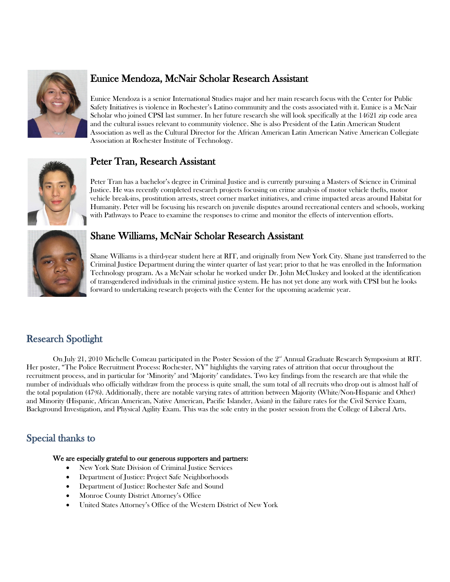

# Eunice Mendoza, McNair Scholar Research Assistant

Eunice Mendoza is a senior International Studies major and her main research focus with the Center for Public Safety Initiatives is violence in Rochester's Latino community and the costs associated with it. Eunice is a McNair Scholar who joined CPSI last summer. In her future research she will look specifically at the 14621 zip code area and the cultural issues relevant to community violence. She is also President of the Latin American Student Association as well as the Cultural Director for the African American Latin American Native American Collegiate Association at Rochester Institute of Technology.



# Peter Tran, Research Assistant

Peter Tran has a bachelor's degree in Criminal Justice and is currently pursuing a Masters of Science in Criminal Justice. He was recently completed research projects focusing on crime analysis of motor vehicle thefts, motor vehicle break-ins, prostitution arrests, street corner market initiatives, and crime impacted areas around Habitat for Humanity. Peter will be focusing his research on juvenile disputes around recreational centers and schools, working with Pathways to Peace to examine the responses to crime and monitor the effects of intervention efforts.



# Shane Williams, McNair Scholar Research Assistant

Shane Williams is a third-year student here at RIT, and originally from New York City. Shane just transferred to the Criminal Justice Department during the winter quarter of last year; prior to that he was enrolled in the Information Technology program. As a McNair scholar he worked under Dr. John McCluskey and looked at the identification of transgendered individuals in the criminal justice system. He has not yet done any work with CPSI but he looks forward to undertaking research projects with the Center for the upcoming academic year.

# Research Spotlight

On July 21, 2010 Michelle Comeau participated in the Poster Session of the  $2<sup>nd</sup>$  Annual Graduate Research Symposium at RIT. Her poster, "The Police Recruitment Process: Rochester, NY" highlights the varying rates of attrition that occur throughout the recruitment process, and in particular for 'Minority' and 'Majority' candidates. Two key findings from the research are that while the number of individuals who officially withdraw from the process is quite small, the sum total of all recruits who drop out is almost half of the total population (47%). Additionally, there are notable varying rates of attrition between Majority (White/Non-Hispanic and Other) and Minority (Hispanic, African American, Native American, Pacific Islander, Asian) in the failure rates for the Civil Service Exam, Background Investigation, and Physical Agility Exam. This was the sole entry in the poster session from the College of Liberal Arts.

# Special thanks to

#### We are especially grateful to our generous supporters and partners:

- New York State Division of Criminal Justice Services
- Department of Justice: Project Safe Neighborhoods
- Department of Justice: Rochester Safe and Sound
- Monroe County District Attorney's Office
- United States Attorney's Office of the Western District of New York